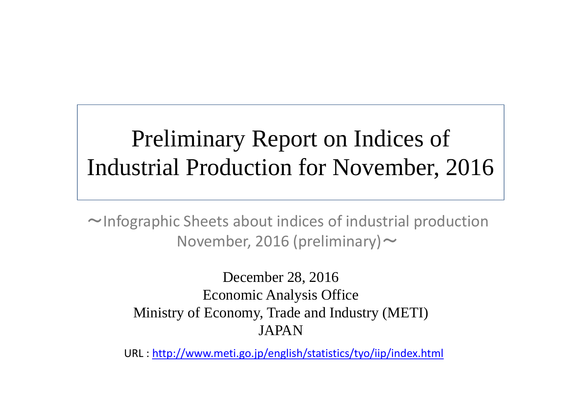# Preliminary Report on Indices of Industrial Production for November, 2016

<sup>~</sup>Infographic Sheets about indices of industrial production November, 2016 (preliminary)  $\sim$ 

> December 28, 2016 Economic Analysis Office Ministry of Economy, Trade and Industry (METI) JAPAN

URL : http://www.meti.go.jp/english/statistics/tyo/iip/index.html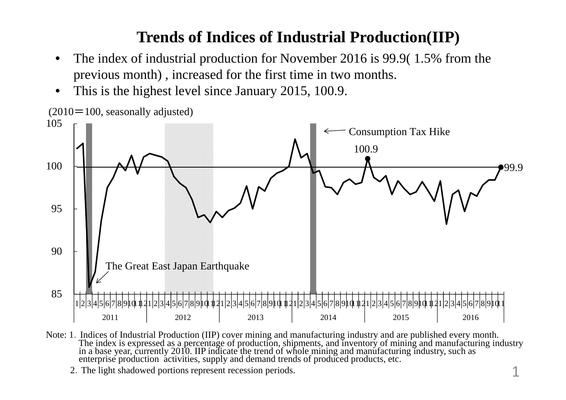## **Trends of Indices of Industrial Production(IIP)**

- • The index of industrial production for November 2016 is 99.9( 1.5% from the previous month) , increased for the first time in two months.
- •This is the highest level since January 2015, 100.9.



Note: 1. Indices of Industrial Production (IIP) cover mining and manufacturing industry and are published every month.<br>The index is expressed as a percentage of production, shipments, and inventory of mining and manufactur

2.The light shadowed portions represent recession periods.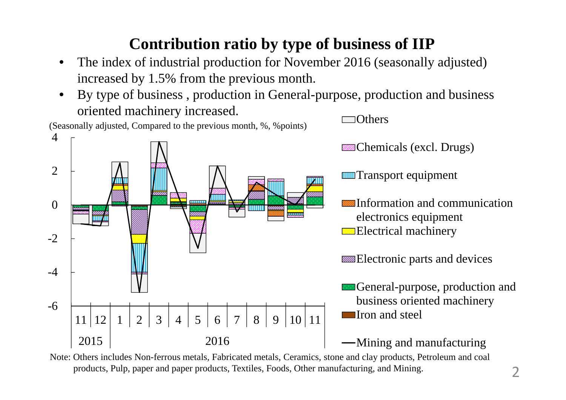## **Contribution ratio by type of business of IIP**

- • The index of industrial production for November 2016 (seasonally adjusted) increased by 1.5% from the previous month.
- • By type of business , production in General-purpose, production and business oriented machinery increased. **Others**



Note: Others includes Non-ferrous metals, Fabricated metals, Ceramics, stone and clay products, Petroleum and coal products, Pulp, paper and paper products, Textiles, Foods, Other manufacturing, and Mining.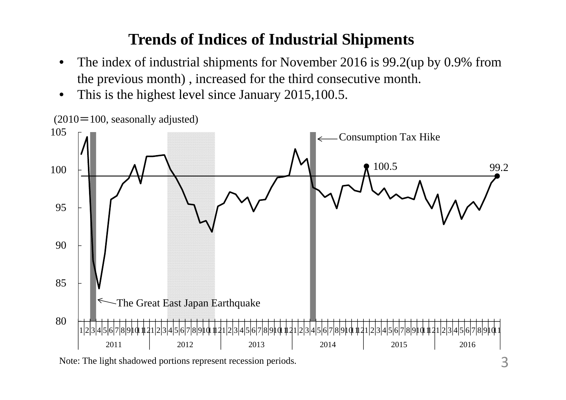### **Trends of Indices of Industrial Shipments**

- • The index of industrial shipments for November 2016 is 99.2(up by 0.9% from the previous month) , increased for the third consecutive month.
- •This is the highest level since January 2015,100.5.



Note: The light shadowed portions represent recession periods.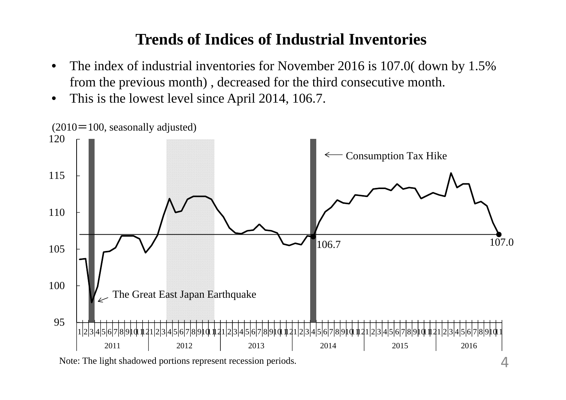#### **Trends of Indices of Industrial Inventories**

- • The index of industrial inventories for November 2016 is 107.0( down by 1.5% from the previous month) , decreased for the third consecutive month.
- •This is the lowest level since April 2014, 106.7.

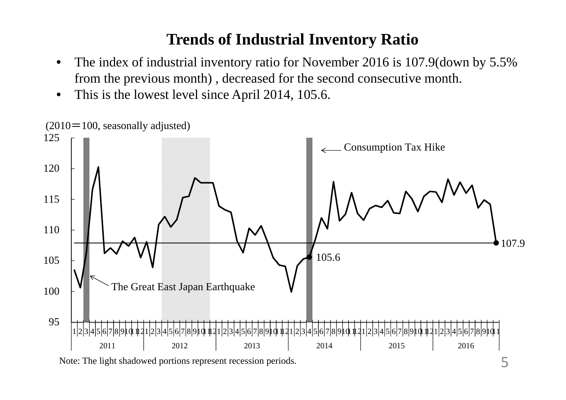#### **Trends of Industrial Inventory Ratio**

- • The index of industrial inventory ratio for November 2016 is 107.9(down by 5.5% from the previous month) , decreased for the second consecutive month.
- •This is the lowest level since April 2014, 105.6.

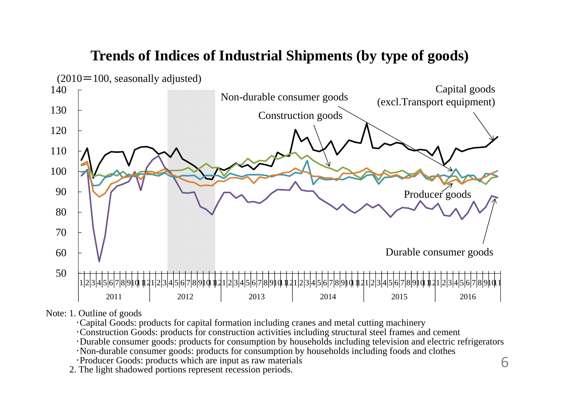#### **Trends of Indices of Industrial Shipments (by type of goods)**



Note: 1. Outline of goods

・Capital Goods: products for capital formation including cranes and metal cutting machinery

・Construction Goods: products for construction activities including structural steel frames and cement

・Durable consumer goods: products for consumption by households including television and electric refrigerators

・Non-durable consumer goods: products for consumption by households including foods and clothes

・Producer Goods: products which are input as raw materials

2. The light shadowed portions represent recession periods.